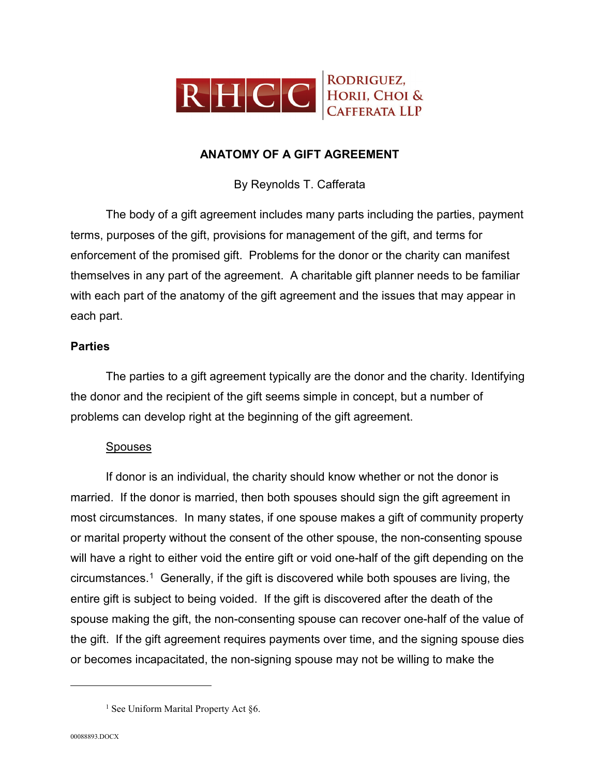

## **ANATOMY OF A GIFT AGREEMENT**

By Reynolds T. Cafferata

The body of a gift agreement includes many parts including the parties, payment terms, purposes of the gift, provisions for management of the gift, and terms for enforcement of the promised gift. Problems for the donor or the charity can manifest themselves in any part of the agreement. A charitable gift planner needs to be familiar with each part of the anatomy of the gift agreement and the issues that may appear in each part.

## **Parties**

The parties to a gift agreement typically are the donor and the charity. Identifying the donor and the recipient of the gift seems simple in concept, but a number of problems can develop right at the beginning of the gift agreement.

## Spouses

If donor is an individual, the charity should know whether or not the donor is married. If the donor is married, then both spouses should sign the gift agreement in most circumstances. In many states, if one spouse makes a gift of community property or marital property without the consent of the other spouse, the non-consenting spouse will have a right to either void the entire gift or void one-half of the gift depending on the circumstances.[1](#page-0-0) Generally, if the gift is discovered while both spouses are living, the entire gift is subject to being voided. If the gift is discovered after the death of the spouse making the gift, the non-consenting spouse can recover one-half of the value of the gift. If the gift agreement requires payments over time, and the signing spouse dies or becomes incapacitated, the non-signing spouse may not be willing to make the

<span id="page-0-0"></span><sup>&</sup>lt;sup>1</sup> See Uniform Marital Property Act §6.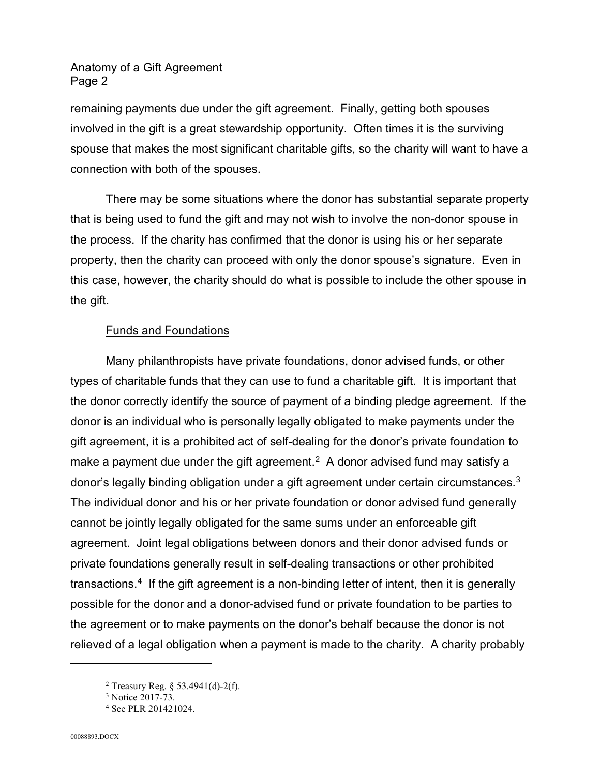remaining payments due under the gift agreement. Finally, getting both spouses involved in the gift is a great stewardship opportunity. Often times it is the surviving spouse that makes the most significant charitable gifts, so the charity will want to have a connection with both of the spouses.

There may be some situations where the donor has substantial separate property that is being used to fund the gift and may not wish to involve the non-donor spouse in the process. If the charity has confirmed that the donor is using his or her separate property, then the charity can proceed with only the donor spouse's signature. Even in this case, however, the charity should do what is possible to include the other spouse in the gift.

# Funds and Foundations

Many philanthropists have private foundations, donor advised funds, or other types of charitable funds that they can use to fund a charitable gift. It is important that the donor correctly identify the source of payment of a binding pledge agreement. If the donor is an individual who is personally legally obligated to make payments under the gift agreement, it is a prohibited act of self-dealing for the donor's private foundation to make a payment due under the gift agreement.<sup>[2](#page-1-0)</sup> A donor advised fund may satisfy a donor's legally binding obligation under a gift agreement under certain circumstances.<sup>[3](#page-1-1)</sup> The individual donor and his or her private foundation or donor advised fund generally cannot be jointly legally obligated for the same sums under an enforceable gift agreement. Joint legal obligations between donors and their donor advised funds or private foundations generally result in self-dealing transactions or other prohibited transactions.[4](#page-1-2) If the gift agreement is a non-binding letter of intent, then it is generally possible for the donor and a donor-advised fund or private foundation to be parties to the agreement or to make payments on the donor's behalf because the donor is not relieved of a legal obligation when a payment is made to the charity. A charity probably

<span id="page-1-1"></span><span id="page-1-0"></span><sup>&</sup>lt;sup>2</sup> Treasury Reg.  $\frac{53.4941}{d}$ -2(f).

<sup>&</sup>lt;sup>3</sup> Notice 2017-73.

<span id="page-1-2"></span><sup>4</sup> See PLR 201421024.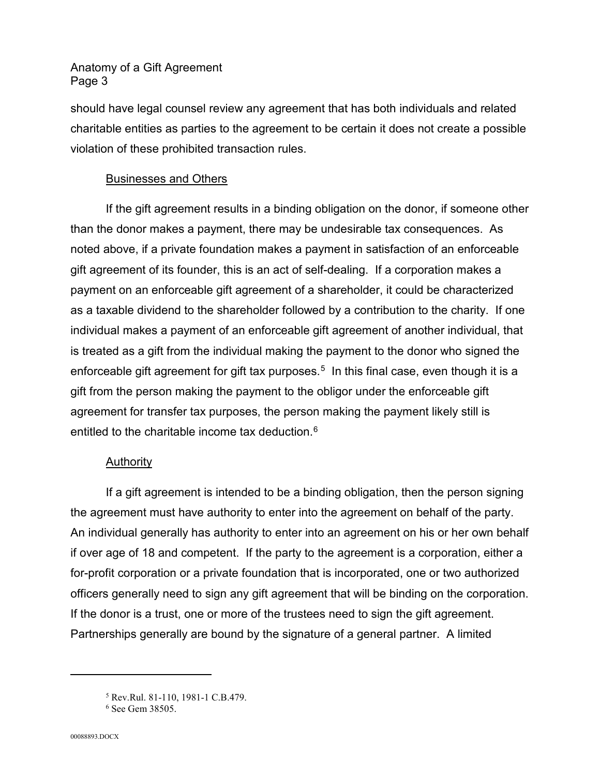should have legal counsel review any agreement that has both individuals and related charitable entities as parties to the agreement to be certain it does not create a possible violation of these prohibited transaction rules.

## Businesses and Others

If the gift agreement results in a binding obligation on the donor, if someone other than the donor makes a payment, there may be undesirable tax consequences. As noted above, if a private foundation makes a payment in satisfaction of an enforceable gift agreement of its founder, this is an act of self-dealing. If a corporation makes a payment on an enforceable gift agreement of a shareholder, it could be characterized as a taxable dividend to the shareholder followed by a contribution to the charity. If one individual makes a payment of an enforceable gift agreement of another individual, that is treated as a gift from the individual making the payment to the donor who signed the enforceable gift agreement for gift tax purposes.<sup>5</sup> In this final case, even though it is a gift from the person making the payment to the obligor under the enforceable gift agreement for transfer tax purposes, the person making the payment likely still is entitled to the charitable income tax deduction.<sup>[6](#page-2-1)</sup>

# Authority

If a gift agreement is intended to be a binding obligation, then the person signing the agreement must have authority to enter into the agreement on behalf of the party. An individual generally has authority to enter into an agreement on his or her own behalf if over age of 18 and competent. If the party to the agreement is a corporation, either a for-profit corporation or a private foundation that is incorporated, one or two authorized officers generally need to sign any gift agreement that will be binding on the corporation. If the donor is a trust, one or more of the trustees need to sign the gift agreement. Partnerships generally are bound by the signature of a general partner. A limited

<span id="page-2-0"></span><sup>5</sup> Rev.Rul. 81-110, 1981-1 C.B.479.

<span id="page-2-1"></span><sup>&</sup>lt;sup>6</sup> See Gem 38505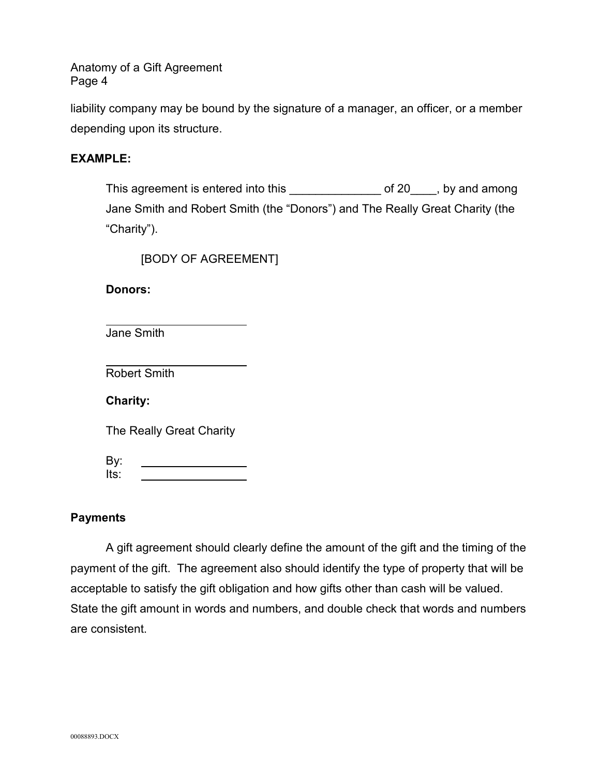liability company may be bound by the signature of a manager, an officer, or a member depending upon its structure.

## **EXAMPLE:**

This agreement is entered into this \_\_\_\_\_\_\_\_\_\_\_\_\_\_\_\_\_\_ of 20\_\_\_\_, by and among Jane Smith and Robert Smith (the "Donors") and The Really Great Charity (the "Charity").

[BODY OF AGREEMENT]

**Donors:**

Jane Smith

Robert Smith

**Charity:**

The Really Great Charity

By: Its:

# **Payments**

A gift agreement should clearly define the amount of the gift and the timing of the payment of the gift. The agreement also should identify the type of property that will be acceptable to satisfy the gift obligation and how gifts other than cash will be valued. State the gift amount in words and numbers, and double check that words and numbers are consistent.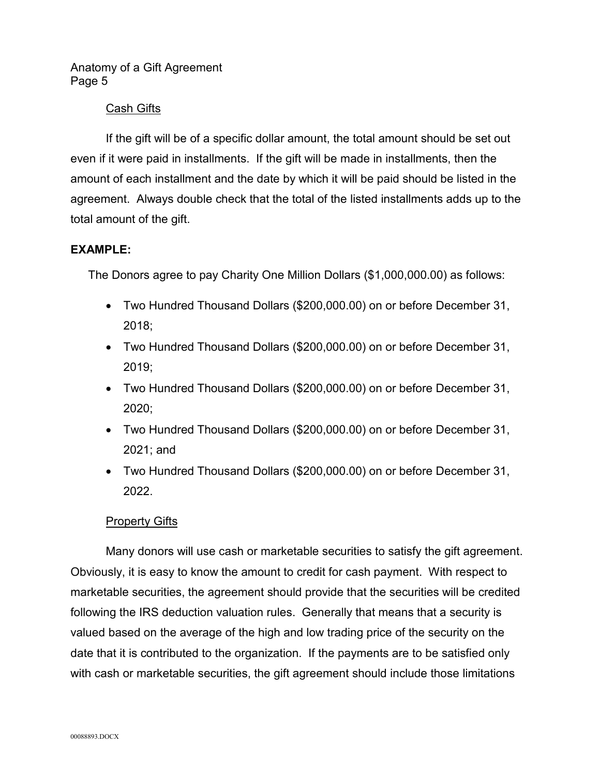## Cash Gifts

If the gift will be of a specific dollar amount, the total amount should be set out even if it were paid in installments. If the gift will be made in installments, then the amount of each installment and the date by which it will be paid should be listed in the agreement. Always double check that the total of the listed installments adds up to the total amount of the gift.

## **EXAMPLE:**

The Donors agree to pay Charity One Million Dollars (\$1,000,000.00) as follows:

- Two Hundred Thousand Dollars (\$200,000.00) on or before December 31, 2018;
- Two Hundred Thousand Dollars (\$200,000.00) on or before December 31, 2019;
- Two Hundred Thousand Dollars (\$200,000.00) on or before December 31, 2020;
- Two Hundred Thousand Dollars (\$200,000.00) on or before December 31, 2021; and
- Two Hundred Thousand Dollars (\$200,000.00) on or before December 31, 2022.

## **Property Gifts**

Many donors will use cash or marketable securities to satisfy the gift agreement. Obviously, it is easy to know the amount to credit for cash payment. With respect to marketable securities, the agreement should provide that the securities will be credited following the IRS deduction valuation rules. Generally that means that a security is valued based on the average of the high and low trading price of the security on the date that it is contributed to the organization. If the payments are to be satisfied only with cash or marketable securities, the gift agreement should include those limitations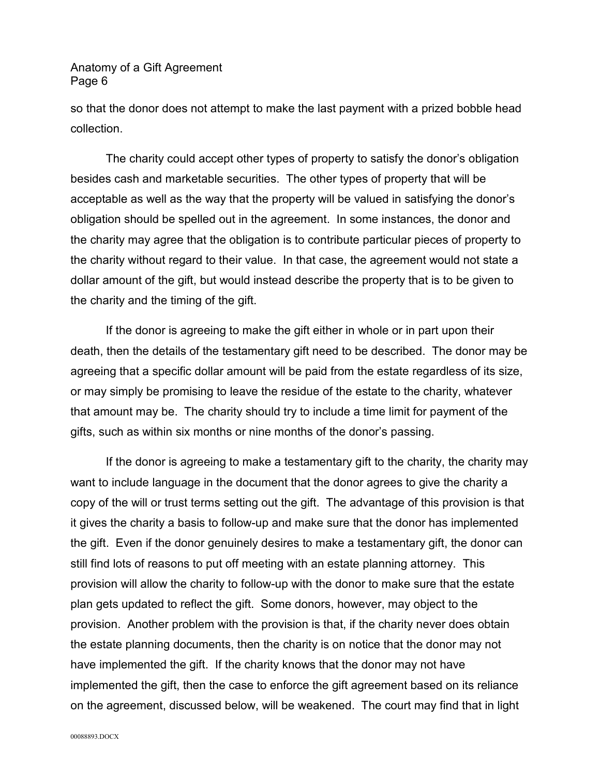so that the donor does not attempt to make the last payment with a prized bobble head collection.

The charity could accept other types of property to satisfy the donor's obligation besides cash and marketable securities. The other types of property that will be acceptable as well as the way that the property will be valued in satisfying the donor's obligation should be spelled out in the agreement. In some instances, the donor and the charity may agree that the obligation is to contribute particular pieces of property to the charity without regard to their value. In that case, the agreement would not state a dollar amount of the gift, but would instead describe the property that is to be given to the charity and the timing of the gift.

If the donor is agreeing to make the gift either in whole or in part upon their death, then the details of the testamentary gift need to be described. The donor may be agreeing that a specific dollar amount will be paid from the estate regardless of its size, or may simply be promising to leave the residue of the estate to the charity, whatever that amount may be. The charity should try to include a time limit for payment of the gifts, such as within six months or nine months of the donor's passing.

If the donor is agreeing to make a testamentary gift to the charity, the charity may want to include language in the document that the donor agrees to give the charity a copy of the will or trust terms setting out the gift. The advantage of this provision is that it gives the charity a basis to follow-up and make sure that the donor has implemented the gift. Even if the donor genuinely desires to make a testamentary gift, the donor can still find lots of reasons to put off meeting with an estate planning attorney. This provision will allow the charity to follow-up with the donor to make sure that the estate plan gets updated to reflect the gift. Some donors, however, may object to the provision. Another problem with the provision is that, if the charity never does obtain the estate planning documents, then the charity is on notice that the donor may not have implemented the gift. If the charity knows that the donor may not have implemented the gift, then the case to enforce the gift agreement based on its reliance on the agreement, discussed below, will be weakened. The court may find that in light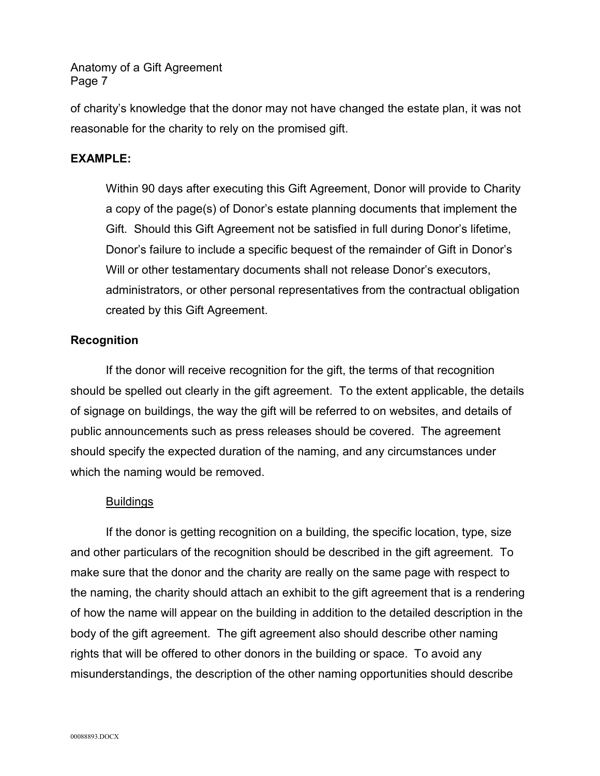of charity's knowledge that the donor may not have changed the estate plan, it was not reasonable for the charity to rely on the promised gift.

## **EXAMPLE:**

Within 90 days after executing this Gift Agreement, Donor will provide to Charity a copy of the page(s) of Donor's estate planning documents that implement the Gift. Should this Gift Agreement not be satisfied in full during Donor's lifetime, Donor's failure to include a specific bequest of the remainder of Gift in Donor's Will or other testamentary documents shall not release Donor's executors, administrators, or other personal representatives from the contractual obligation created by this Gift Agreement.

## **Recognition**

If the donor will receive recognition for the gift, the terms of that recognition should be spelled out clearly in the gift agreement. To the extent applicable, the details of signage on buildings, the way the gift will be referred to on websites, and details of public announcements such as press releases should be covered. The agreement should specify the expected duration of the naming, and any circumstances under which the naming would be removed.

## **Buildings**

If the donor is getting recognition on a building, the specific location, type, size and other particulars of the recognition should be described in the gift agreement. To make sure that the donor and the charity are really on the same page with respect to the naming, the charity should attach an exhibit to the gift agreement that is a rendering of how the name will appear on the building in addition to the detailed description in the body of the gift agreement. The gift agreement also should describe other naming rights that will be offered to other donors in the building or space. To avoid any misunderstandings, the description of the other naming opportunities should describe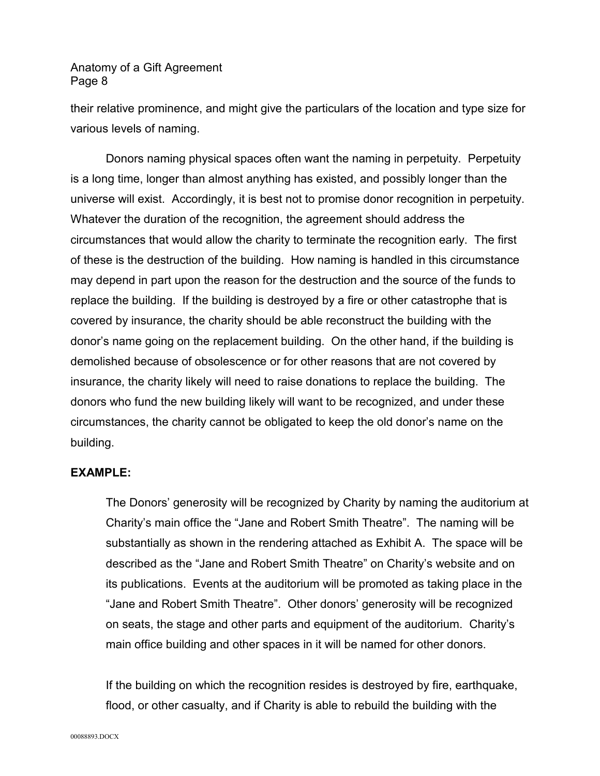their relative prominence, and might give the particulars of the location and type size for various levels of naming.

Donors naming physical spaces often want the naming in perpetuity. Perpetuity is a long time, longer than almost anything has existed, and possibly longer than the universe will exist. Accordingly, it is best not to promise donor recognition in perpetuity. Whatever the duration of the recognition, the agreement should address the circumstances that would allow the charity to terminate the recognition early. The first of these is the destruction of the building. How naming is handled in this circumstance may depend in part upon the reason for the destruction and the source of the funds to replace the building. If the building is destroyed by a fire or other catastrophe that is covered by insurance, the charity should be able reconstruct the building with the donor's name going on the replacement building. On the other hand, if the building is demolished because of obsolescence or for other reasons that are not covered by insurance, the charity likely will need to raise donations to replace the building. The donors who fund the new building likely will want to be recognized, and under these circumstances, the charity cannot be obligated to keep the old donor's name on the building.

#### **EXAMPLE:**

The Donors' generosity will be recognized by Charity by naming the auditorium at Charity's main office the "Jane and Robert Smith Theatre". The naming will be substantially as shown in the rendering attached as Exhibit A. The space will be described as the "Jane and Robert Smith Theatre" on Charity's website and on its publications. Events at the auditorium will be promoted as taking place in the "Jane and Robert Smith Theatre". Other donors' generosity will be recognized on seats, the stage and other parts and equipment of the auditorium. Charity's main office building and other spaces in it will be named for other donors.

If the building on which the recognition resides is destroyed by fire, earthquake, flood, or other casualty, and if Charity is able to rebuild the building with the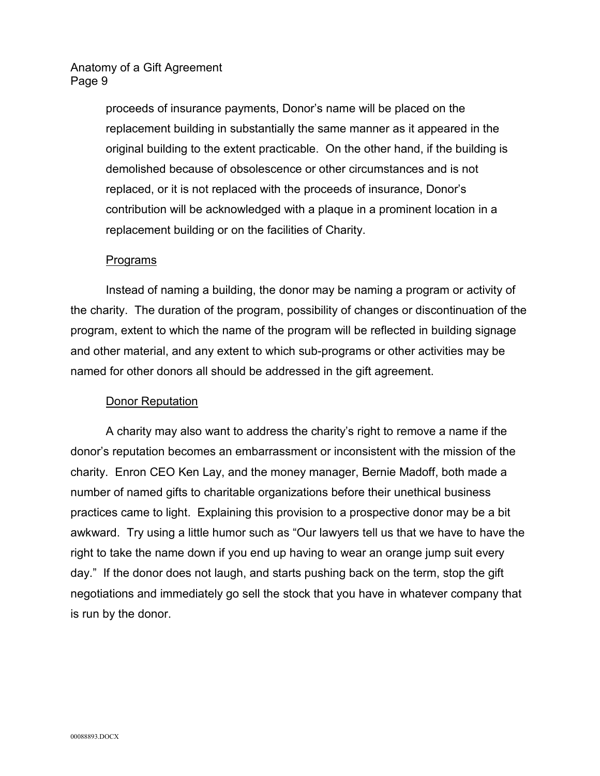proceeds of insurance payments, Donor's name will be placed on the replacement building in substantially the same manner as it appeared in the original building to the extent practicable. On the other hand, if the building is demolished because of obsolescence or other circumstances and is not replaced, or it is not replaced with the proceeds of insurance, Donor's contribution will be acknowledged with a plaque in a prominent location in a replacement building or on the facilities of Charity.

#### Programs

Instead of naming a building, the donor may be naming a program or activity of the charity. The duration of the program, possibility of changes or discontinuation of the program, extent to which the name of the program will be reflected in building signage and other material, and any extent to which sub-programs or other activities may be named for other donors all should be addressed in the gift agreement.

## Donor Reputation

A charity may also want to address the charity's right to remove a name if the donor's reputation becomes an embarrassment or inconsistent with the mission of the charity. Enron CEO Ken Lay, and the money manager, Bernie Madoff, both made a number of named gifts to charitable organizations before their unethical business practices came to light. Explaining this provision to a prospective donor may be a bit awkward. Try using a little humor such as "Our lawyers tell us that we have to have the right to take the name down if you end up having to wear an orange jump suit every day." If the donor does not laugh, and starts pushing back on the term, stop the gift negotiations and immediately go sell the stock that you have in whatever company that is run by the donor.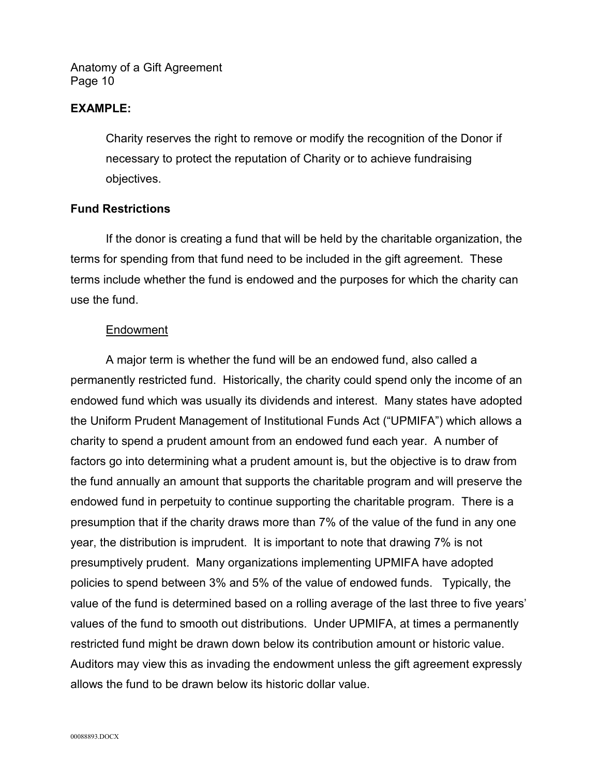#### **EXAMPLE:**

Charity reserves the right to remove or modify the recognition of the Donor if necessary to protect the reputation of Charity or to achieve fundraising objectives.

#### **Fund Restrictions**

If the donor is creating a fund that will be held by the charitable organization, the terms for spending from that fund need to be included in the gift agreement. These terms include whether the fund is endowed and the purposes for which the charity can use the fund.

## Endowment

A major term is whether the fund will be an endowed fund, also called a permanently restricted fund. Historically, the charity could spend only the income of an endowed fund which was usually its dividends and interest. Many states have adopted the Uniform Prudent Management of Institutional Funds Act ("UPMIFA") which allows a charity to spend a prudent amount from an endowed fund each year. A number of factors go into determining what a prudent amount is, but the objective is to draw from the fund annually an amount that supports the charitable program and will preserve the endowed fund in perpetuity to continue supporting the charitable program. There is a presumption that if the charity draws more than 7% of the value of the fund in any one year, the distribution is imprudent. It is important to note that drawing 7% is not presumptively prudent. Many organizations implementing UPMIFA have adopted policies to spend between 3% and 5% of the value of endowed funds. Typically, the value of the fund is determined based on a rolling average of the last three to five years' values of the fund to smooth out distributions. Under UPMIFA, at times a permanently restricted fund might be drawn down below its contribution amount or historic value. Auditors may view this as invading the endowment unless the gift agreement expressly allows the fund to be drawn below its historic dollar value.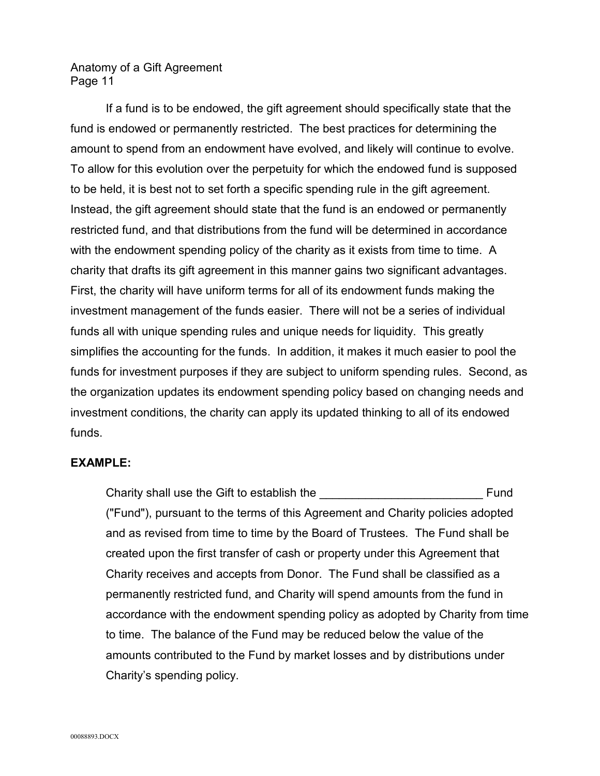If a fund is to be endowed, the gift agreement should specifically state that the fund is endowed or permanently restricted. The best practices for determining the amount to spend from an endowment have evolved, and likely will continue to evolve. To allow for this evolution over the perpetuity for which the endowed fund is supposed to be held, it is best not to set forth a specific spending rule in the gift agreement. Instead, the gift agreement should state that the fund is an endowed or permanently restricted fund, and that distributions from the fund will be determined in accordance with the endowment spending policy of the charity as it exists from time to time. A charity that drafts its gift agreement in this manner gains two significant advantages. First, the charity will have uniform terms for all of its endowment funds making the investment management of the funds easier. There will not be a series of individual funds all with unique spending rules and unique needs for liquidity. This greatly simplifies the accounting for the funds. In addition, it makes it much easier to pool the funds for investment purposes if they are subject to uniform spending rules. Second, as the organization updates its endowment spending policy based on changing needs and investment conditions, the charity can apply its updated thinking to all of its endowed funds.

## **EXAMPLE:**

Charity shall use the Gift to establish the example of the state of the state of the state of the state of the state of the state of the state of the state of the state of the state of the state of the state of the state o ("Fund"), pursuant to the terms of this Agreement and Charity policies adopted and as revised from time to time by the Board of Trustees. The Fund shall be created upon the first transfer of cash or property under this Agreement that Charity receives and accepts from Donor. The Fund shall be classified as a permanently restricted fund, and Charity will spend amounts from the fund in accordance with the endowment spending policy as adopted by Charity from time to time. The balance of the Fund may be reduced below the value of the amounts contributed to the Fund by market losses and by distributions under Charity's spending policy.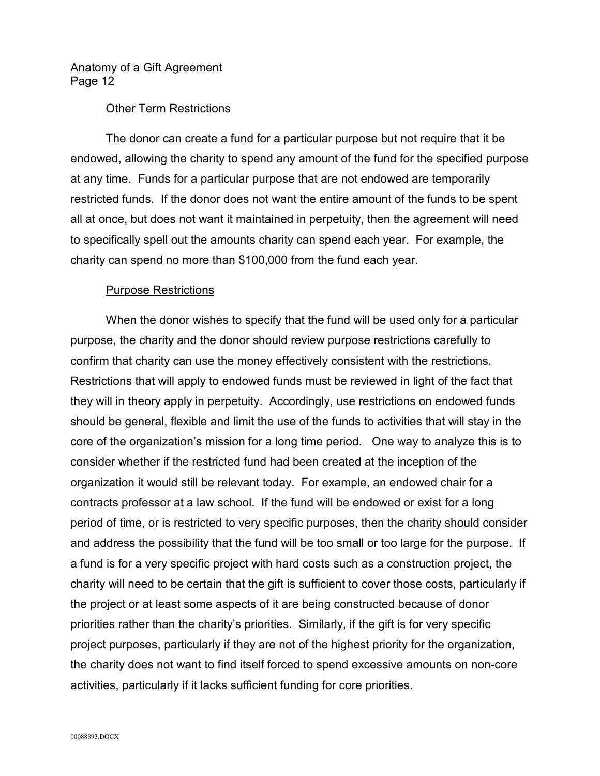#### Other Term Restrictions

The donor can create a fund for a particular purpose but not require that it be endowed, allowing the charity to spend any amount of the fund for the specified purpose at any time. Funds for a particular purpose that are not endowed are temporarily restricted funds. If the donor does not want the entire amount of the funds to be spent all at once, but does not want it maintained in perpetuity, then the agreement will need to specifically spell out the amounts charity can spend each year. For example, the charity can spend no more than \$100,000 from the fund each year.

#### Purpose Restrictions

When the donor wishes to specify that the fund will be used only for a particular purpose, the charity and the donor should review purpose restrictions carefully to confirm that charity can use the money effectively consistent with the restrictions. Restrictions that will apply to endowed funds must be reviewed in light of the fact that they will in theory apply in perpetuity. Accordingly, use restrictions on endowed funds should be general, flexible and limit the use of the funds to activities that will stay in the core of the organization's mission for a long time period. One way to analyze this is to consider whether if the restricted fund had been created at the inception of the organization it would still be relevant today. For example, an endowed chair for a contracts professor at a law school. If the fund will be endowed or exist for a long period of time, or is restricted to very specific purposes, then the charity should consider and address the possibility that the fund will be too small or too large for the purpose. If a fund is for a very specific project with hard costs such as a construction project, the charity will need to be certain that the gift is sufficient to cover those costs, particularly if the project or at least some aspects of it are being constructed because of donor priorities rather than the charity's priorities. Similarly, if the gift is for very specific project purposes, particularly if they are not of the highest priority for the organization, the charity does not want to find itself forced to spend excessive amounts on non-core activities, particularly if it lacks sufficient funding for core priorities.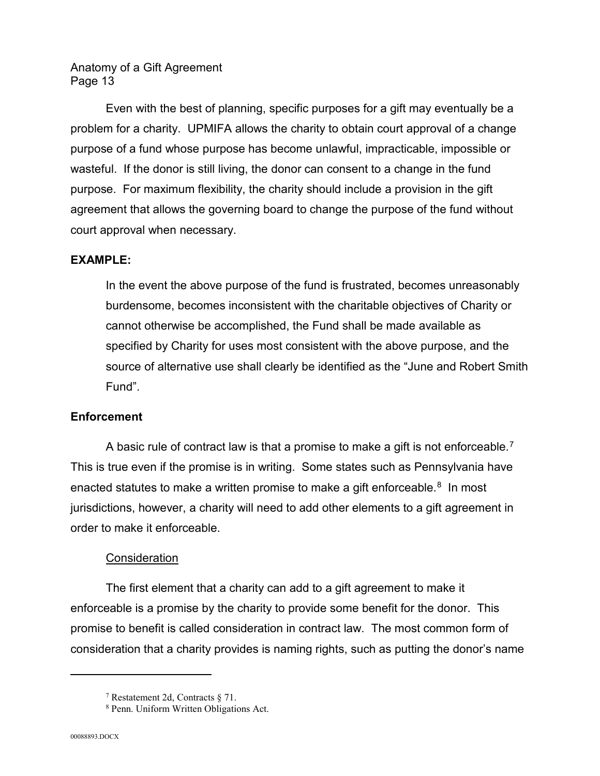Even with the best of planning, specific purposes for a gift may eventually be a problem for a charity. UPMIFA allows the charity to obtain court approval of a change purpose of a fund whose purpose has become unlawful, impracticable, impossible or wasteful. If the donor is still living, the donor can consent to a change in the fund purpose. For maximum flexibility, the charity should include a provision in the gift agreement that allows the governing board to change the purpose of the fund without court approval when necessary.

## **EXAMPLE:**

In the event the above purpose of the fund is frustrated, becomes unreasonably burdensome, becomes inconsistent with the charitable objectives of Charity or cannot otherwise be accomplished, the Fund shall be made available as specified by Charity for uses most consistent with the above purpose, and the source of alternative use shall clearly be identified as the "June and Robert Smith Fund".

## **Enforcement**

A basic rule of contract law is that a promise to make a gift is not enforceable.[7](#page-12-0) This is true even if the promise is in writing. Some states such as Pennsylvania have enacted statutes to make a written promise to make a gift enforceable. $8\,$  In most jurisdictions, however, a charity will need to add other elements to a gift agreement in order to make it enforceable.

# **Consideration**

The first element that a charity can add to a gift agreement to make it enforceable is a promise by the charity to provide some benefit for the donor. This promise to benefit is called consideration in contract law. The most common form of consideration that a charity provides is naming rights, such as putting the donor's name

<span id="page-12-0"></span><sup>7</sup> Restatement 2d, Contracts § 71.

<span id="page-12-1"></span><sup>8</sup> Penn. Uniform Written Obligations Act.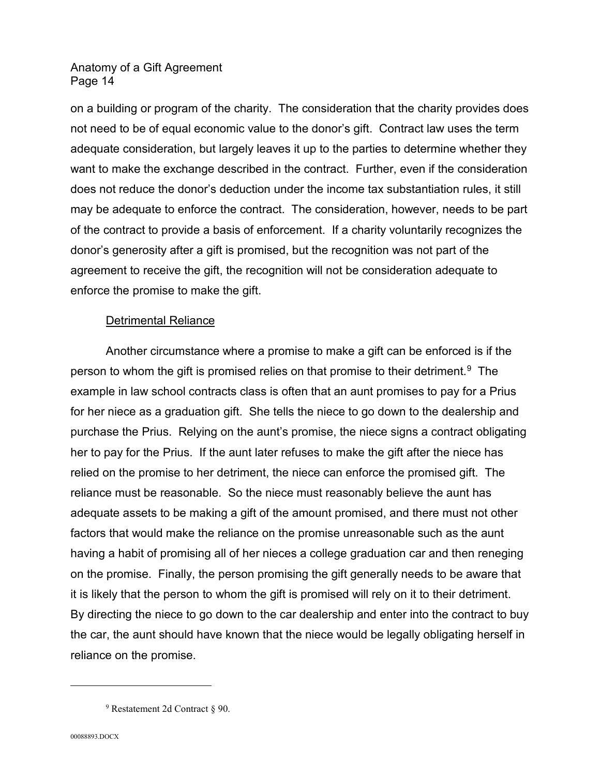on a building or program of the charity. The consideration that the charity provides does not need to be of equal economic value to the donor's gift. Contract law uses the term adequate consideration, but largely leaves it up to the parties to determine whether they want to make the exchange described in the contract. Further, even if the consideration does not reduce the donor's deduction under the income tax substantiation rules, it still may be adequate to enforce the contract. The consideration, however, needs to be part of the contract to provide a basis of enforcement. If a charity voluntarily recognizes the donor's generosity after a gift is promised, but the recognition was not part of the agreement to receive the gift, the recognition will not be consideration adequate to enforce the promise to make the gift.

## Detrimental Reliance

Another circumstance where a promise to make a gift can be enforced is if the person to whom the gift is promised relies on that promise to their detriment.[9](#page-13-0) The example in law school contracts class is often that an aunt promises to pay for a Prius for her niece as a graduation gift. She tells the niece to go down to the dealership and purchase the Prius. Relying on the aunt's promise, the niece signs a contract obligating her to pay for the Prius. If the aunt later refuses to make the gift after the niece has relied on the promise to her detriment, the niece can enforce the promised gift. The reliance must be reasonable. So the niece must reasonably believe the aunt has adequate assets to be making a gift of the amount promised, and there must not other factors that would make the reliance on the promise unreasonable such as the aunt having a habit of promising all of her nieces a college graduation car and then reneging on the promise. Finally, the person promising the gift generally needs to be aware that it is likely that the person to whom the gift is promised will rely on it to their detriment. By directing the niece to go down to the car dealership and enter into the contract to buy the car, the aunt should have known that the niece would be legally obligating herself in reliance on the promise.

<span id="page-13-0"></span><sup>9</sup> Restatement 2d Contract § 90.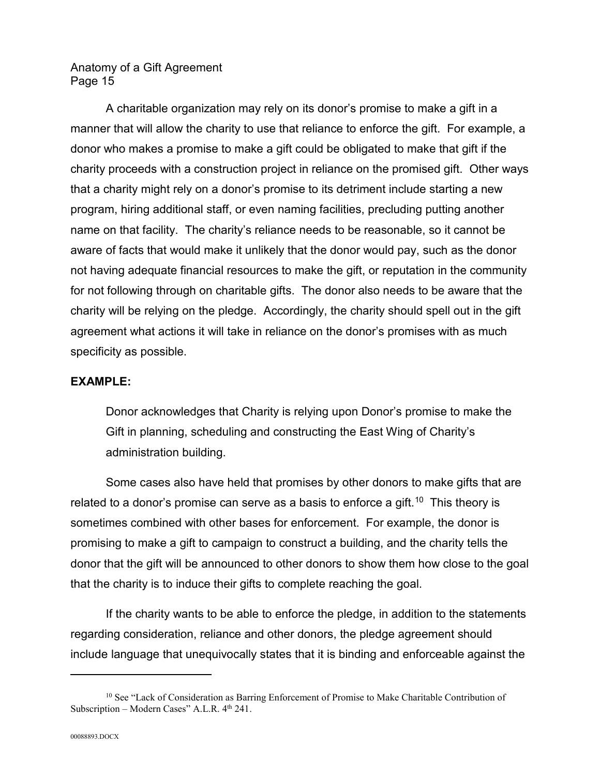A charitable organization may rely on its donor's promise to make a gift in a manner that will allow the charity to use that reliance to enforce the gift. For example, a donor who makes a promise to make a gift could be obligated to make that gift if the charity proceeds with a construction project in reliance on the promised gift. Other ways that a charity might rely on a donor's promise to its detriment include starting a new program, hiring additional staff, or even naming facilities, precluding putting another name on that facility. The charity's reliance needs to be reasonable, so it cannot be aware of facts that would make it unlikely that the donor would pay, such as the donor not having adequate financial resources to make the gift, or reputation in the community for not following through on charitable gifts. The donor also needs to be aware that the charity will be relying on the pledge. Accordingly, the charity should spell out in the gift agreement what actions it will take in reliance on the donor's promises with as much specificity as possible.

## **EXAMPLE:**

Donor acknowledges that Charity is relying upon Donor's promise to make the Gift in planning, scheduling and constructing the East Wing of Charity's administration building.

Some cases also have held that promises by other donors to make gifts that are related to a donor's promise can serve as a basis to enforce a gift.<sup>[10](#page-14-0)</sup> This theory is sometimes combined with other bases for enforcement. For example, the donor is promising to make a gift to campaign to construct a building, and the charity tells the donor that the gift will be announced to other donors to show them how close to the goal that the charity is to induce their gifts to complete reaching the goal.

If the charity wants to be able to enforce the pledge, in addition to the statements regarding consideration, reliance and other donors, the pledge agreement should include language that unequivocally states that it is binding and enforceable against the

<span id="page-14-0"></span><sup>&</sup>lt;sup>10</sup> See "Lack of Consideration as Barring Enforcement of Promise to Make Charitable Contribution of Subscription – Modern Cases" A.L.R.  $4<sup>th</sup> 241$ .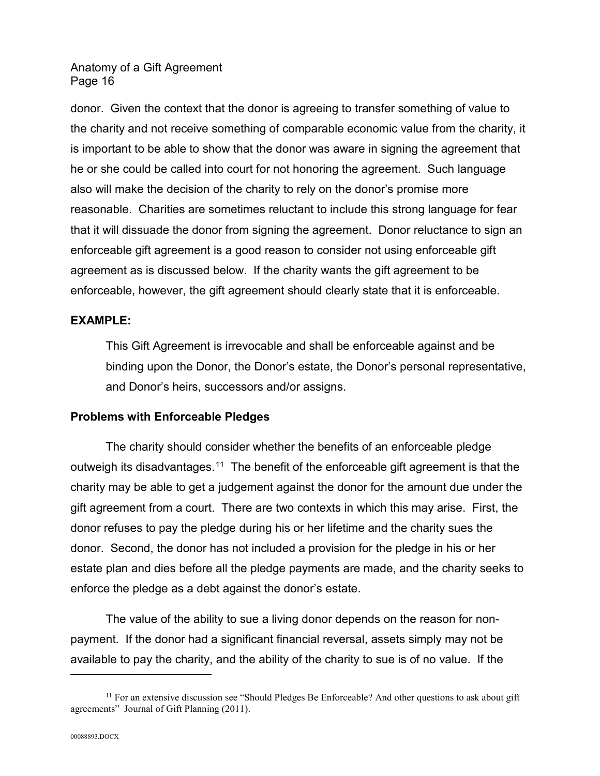donor. Given the context that the donor is agreeing to transfer something of value to the charity and not receive something of comparable economic value from the charity, it is important to be able to show that the donor was aware in signing the agreement that he or she could be called into court for not honoring the agreement. Such language also will make the decision of the charity to rely on the donor's promise more reasonable. Charities are sometimes reluctant to include this strong language for fear that it will dissuade the donor from signing the agreement. Donor reluctance to sign an enforceable gift agreement is a good reason to consider not using enforceable gift agreement as is discussed below. If the charity wants the gift agreement to be enforceable, however, the gift agreement should clearly state that it is enforceable.

## **EXAMPLE:**

This Gift Agreement is irrevocable and shall be enforceable against and be binding upon the Donor, the Donor's estate, the Donor's personal representative, and Donor's heirs, successors and/or assigns.

# **Problems with Enforceable Pledges**

The charity should consider whether the benefits of an enforceable pledge outweigh its disadvantages.<sup>11</sup> The benefit of the enforceable gift agreement is that the charity may be able to get a judgement against the donor for the amount due under the gift agreement from a court. There are two contexts in which this may arise. First, the donor refuses to pay the pledge during his or her lifetime and the charity sues the donor. Second, the donor has not included a provision for the pledge in his or her estate plan and dies before all the pledge payments are made, and the charity seeks to enforce the pledge as a debt against the donor's estate.

The value of the ability to sue a living donor depends on the reason for nonpayment. If the donor had a significant financial reversal, assets simply may not be available to pay the charity, and the ability of the charity to sue is of no value. If the

<span id="page-15-0"></span> $11$  For an extensive discussion see "Should Pledges Be Enforceable? And other questions to ask about gift agreements" Journal of Gift Planning (2011).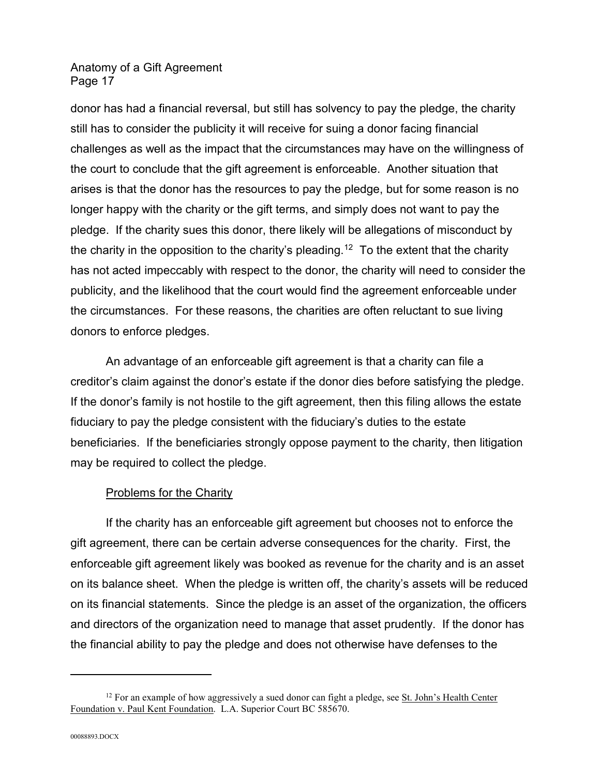donor has had a financial reversal, but still has solvency to pay the pledge, the charity still has to consider the publicity it will receive for suing a donor facing financial challenges as well as the impact that the circumstances may have on the willingness of the court to conclude that the gift agreement is enforceable. Another situation that arises is that the donor has the resources to pay the pledge, but for some reason is no longer happy with the charity or the gift terms, and simply does not want to pay the pledge. If the charity sues this donor, there likely will be allegations of misconduct by the charity in the opposition to the charity's pleading.<sup>[12](#page-16-0)</sup> To the extent that the charity has not acted impeccably with respect to the donor, the charity will need to consider the publicity, and the likelihood that the court would find the agreement enforceable under the circumstances. For these reasons, the charities are often reluctant to sue living donors to enforce pledges.

An advantage of an enforceable gift agreement is that a charity can file a creditor's claim against the donor's estate if the donor dies before satisfying the pledge. If the donor's family is not hostile to the gift agreement, then this filing allows the estate fiduciary to pay the pledge consistent with the fiduciary's duties to the estate beneficiaries. If the beneficiaries strongly oppose payment to the charity, then litigation may be required to collect the pledge.

## Problems for the Charity

If the charity has an enforceable gift agreement but chooses not to enforce the gift agreement, there can be certain adverse consequences for the charity. First, the enforceable gift agreement likely was booked as revenue for the charity and is an asset on its balance sheet. When the pledge is written off, the charity's assets will be reduced on its financial statements. Since the pledge is an asset of the organization, the officers and directors of the organization need to manage that asset prudently. If the donor has the financial ability to pay the pledge and does not otherwise have defenses to the

<span id="page-16-0"></span> $12$  For an example of how aggressively a sued donor can fight a pledge, see St. John's Health Center Foundation v. Paul Kent Foundation. L.A. Superior Court BC 585670.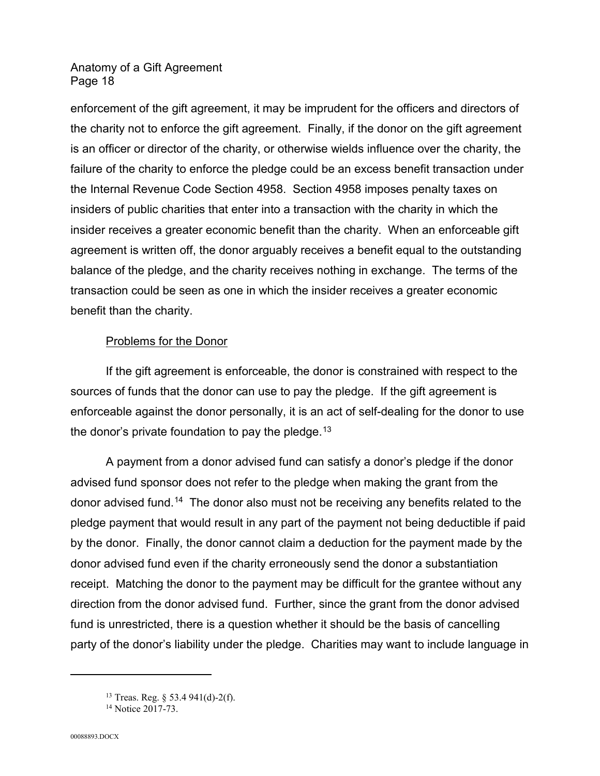enforcement of the gift agreement, it may be imprudent for the officers and directors of the charity not to enforce the gift agreement. Finally, if the donor on the gift agreement is an officer or director of the charity, or otherwise wields influence over the charity, the failure of the charity to enforce the pledge could be an excess benefit transaction under the Internal Revenue Code Section 4958. Section 4958 imposes penalty taxes on insiders of public charities that enter into a transaction with the charity in which the insider receives a greater economic benefit than the charity. When an enforceable gift agreement is written off, the donor arguably receives a benefit equal to the outstanding balance of the pledge, and the charity receives nothing in exchange. The terms of the transaction could be seen as one in which the insider receives a greater economic benefit than the charity.

## Problems for the Donor

If the gift agreement is enforceable, the donor is constrained with respect to the sources of funds that the donor can use to pay the pledge. If the gift agreement is enforceable against the donor personally, it is an act of self-dealing for the donor to use the donor's private foundation to pay the pledge.<sup>[13](#page-17-0)</sup>

A payment from a donor advised fund can satisfy a donor's pledge if the donor advised fund sponsor does not refer to the pledge when making the grant from the donor advised fund.<sup>14</sup> The donor also must not be receiving any benefits related to the pledge payment that would result in any part of the payment not being deductible if paid by the donor. Finally, the donor cannot claim a deduction for the payment made by the donor advised fund even if the charity erroneously send the donor a substantiation receipt. Matching the donor to the payment may be difficult for the grantee without any direction from the donor advised fund. Further, since the grant from the donor advised fund is unrestricted, there is a question whether it should be the basis of cancelling party of the donor's liability under the pledge. Charities may want to include language in

<span id="page-17-0"></span><sup>13</sup> Treas. Reg. § 53.4 941(d)-2(f).

<span id="page-17-1"></span><sup>&</sup>lt;sup>14</sup> Notice 2017-73.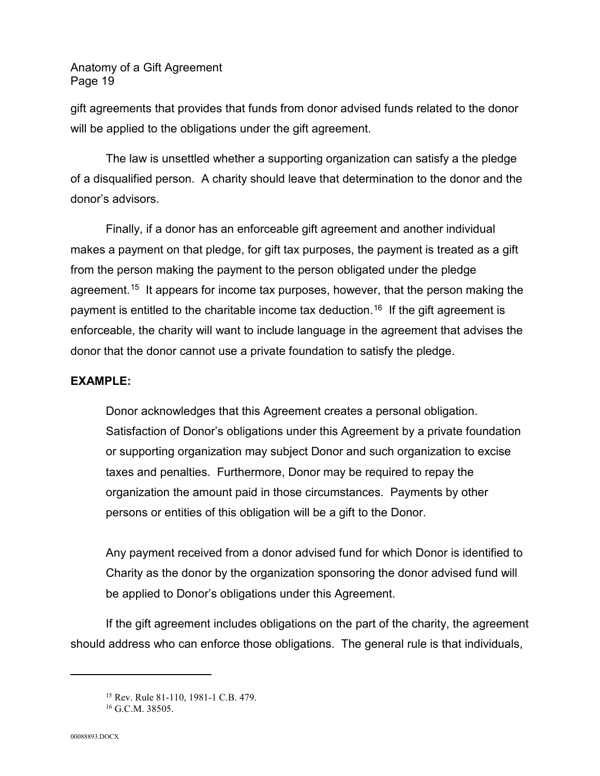gift agreements that provides that funds from donor advised funds related to the donor will be applied to the obligations under the gift agreement.

The law is unsettled whether a supporting organization can satisfy a the pledge of a disqualified person. A charity should leave that determination to the donor and the donor's advisors.

Finally, if a donor has an enforceable gift agreement and another individual makes a payment on that pledge, for gift tax purposes, the payment is treated as a gift from the person making the payment to the person obligated under the pledge agreement.<sup>[15](#page-18-0)</sup> It appears for income tax purposes, however, that the person making the payment is entitled to the charitable income tax deduction.<sup>[16](#page-18-1)</sup> If the gift agreement is enforceable, the charity will want to include language in the agreement that advises the donor that the donor cannot use a private foundation to satisfy the pledge.

## **EXAMPLE:**

Donor acknowledges that this Agreement creates a personal obligation. Satisfaction of Donor's obligations under this Agreement by a private foundation or supporting organization may subject Donor and such organization to excise taxes and penalties. Furthermore, Donor may be required to repay the organization the amount paid in those circumstances. Payments by other persons or entities of this obligation will be a gift to the Donor.

Any payment received from a donor advised fund for which Donor is identified to Charity as the donor by the organization sponsoring the donor advised fund will be applied to Donor's obligations under this Agreement.

<span id="page-18-0"></span>If the gift agreement includes obligations on the part of the charity, the agreement should address who can enforce those obligations. The general rule is that individuals,

<sup>15</sup> Rev. Rule 81-110, 1981-1 C.B. 479.

<span id="page-18-1"></span> $16$  G.C.M. 38505.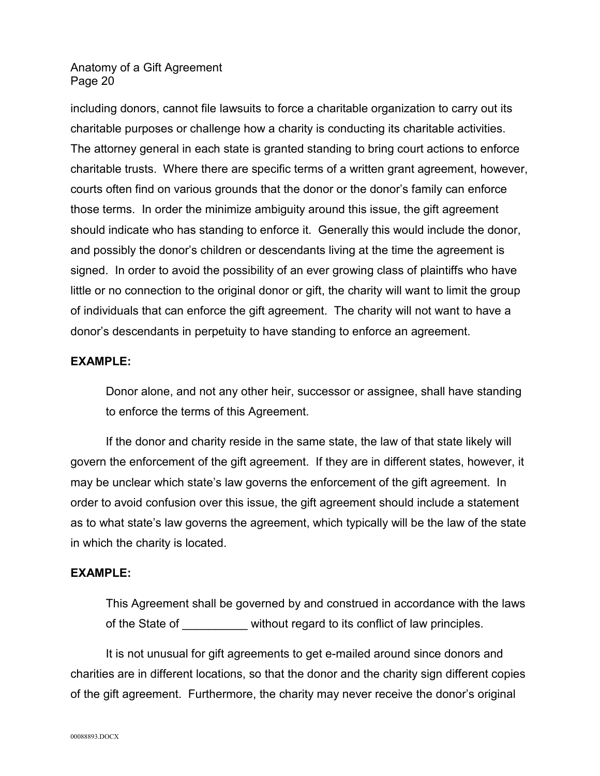including donors, cannot file lawsuits to force a charitable organization to carry out its charitable purposes or challenge how a charity is conducting its charitable activities. The attorney general in each state is granted standing to bring court actions to enforce charitable trusts. Where there are specific terms of a written grant agreement, however, courts often find on various grounds that the donor or the donor's family can enforce those terms. In order the minimize ambiguity around this issue, the gift agreement should indicate who has standing to enforce it. Generally this would include the donor, and possibly the donor's children or descendants living at the time the agreement is signed. In order to avoid the possibility of an ever growing class of plaintiffs who have little or no connection to the original donor or gift, the charity will want to limit the group of individuals that can enforce the gift agreement. The charity will not want to have a donor's descendants in perpetuity to have standing to enforce an agreement.

## **EXAMPLE:**

Donor alone, and not any other heir, successor or assignee, shall have standing to enforce the terms of this Agreement.

If the donor and charity reside in the same state, the law of that state likely will govern the enforcement of the gift agreement. If they are in different states, however, it may be unclear which state's law governs the enforcement of the gift agreement. In order to avoid confusion over this issue, the gift agreement should include a statement as to what state's law governs the agreement, which typically will be the law of the state in which the charity is located.

## **EXAMPLE:**

This Agreement shall be governed by and construed in accordance with the laws of the State of without regard to its conflict of law principles.

It is not unusual for gift agreements to get e-mailed around since donors and charities are in different locations, so that the donor and the charity sign different copies of the gift agreement. Furthermore, the charity may never receive the donor's original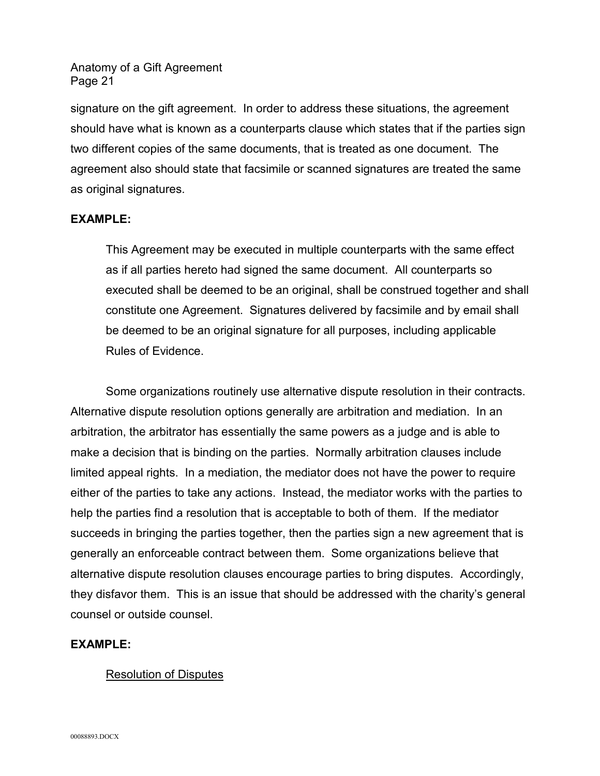signature on the gift agreement. In order to address these situations, the agreement should have what is known as a counterparts clause which states that if the parties sign two different copies of the same documents, that is treated as one document. The agreement also should state that facsimile or scanned signatures are treated the same as original signatures.

## **EXAMPLE:**

This Agreement may be executed in multiple counterparts with the same effect as if all parties hereto had signed the same document. All counterparts so executed shall be deemed to be an original, shall be construed together and shall constitute one Agreement. Signatures delivered by facsimile and by email shall be deemed to be an original signature for all purposes, including applicable Rules of Evidence.

Some organizations routinely use alternative dispute resolution in their contracts. Alternative dispute resolution options generally are arbitration and mediation. In an arbitration, the arbitrator has essentially the same powers as a judge and is able to make a decision that is binding on the parties. Normally arbitration clauses include limited appeal rights. In a mediation, the mediator does not have the power to require either of the parties to take any actions. Instead, the mediator works with the parties to help the parties find a resolution that is acceptable to both of them. If the mediator succeeds in bringing the parties together, then the parties sign a new agreement that is generally an enforceable contract between them. Some organizations believe that alternative dispute resolution clauses encourage parties to bring disputes. Accordingly, they disfavor them. This is an issue that should be addressed with the charity's general counsel or outside counsel.

## **EXAMPLE:**

## Resolution of Disputes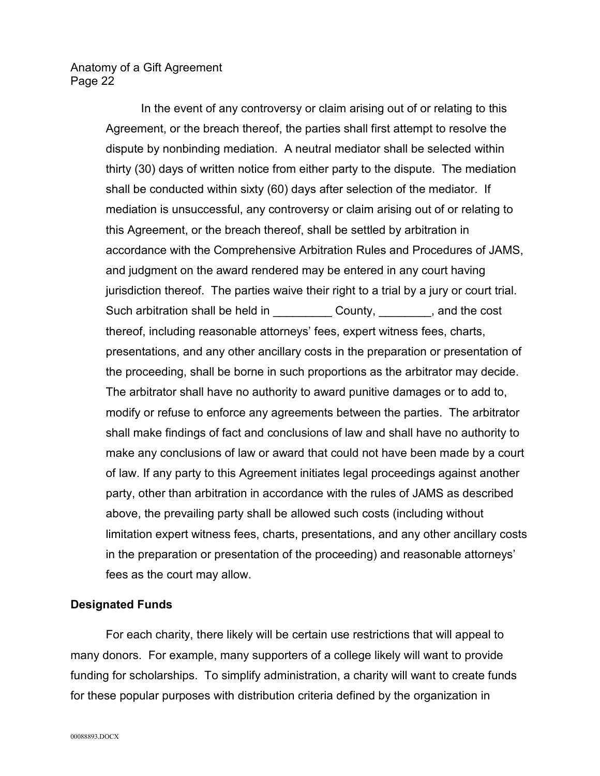> In the event of any controversy or claim arising out of or relating to this Agreement, or the breach thereof, the parties shall first attempt to resolve the dispute by nonbinding mediation. A neutral mediator shall be selected within thirty (30) days of written notice from either party to the dispute. The mediation shall be conducted within sixty (60) days after selection of the mediator. If mediation is unsuccessful, any controversy or claim arising out of or relating to this Agreement, or the breach thereof, shall be settled by arbitration in accordance with the Comprehensive Arbitration Rules and Procedures of JAMS, and judgment on the award rendered may be entered in any court having jurisdiction thereof. The parties waive their right to a trial by a jury or court trial. Such arbitration shall be held in The County, Equation 2. And the cost thereof, including reasonable attorneys' fees, expert witness fees, charts, presentations, and any other ancillary costs in the preparation or presentation of the proceeding, shall be borne in such proportions as the arbitrator may decide. The arbitrator shall have no authority to award punitive damages or to add to, modify or refuse to enforce any agreements between the parties. The arbitrator shall make findings of fact and conclusions of law and shall have no authority to make any conclusions of law or award that could not have been made by a court of law. If any party to this Agreement initiates legal proceedings against another party, other than arbitration in accordance with the rules of JAMS as described above, the prevailing party shall be allowed such costs (including without limitation expert witness fees, charts, presentations, and any other ancillary costs in the preparation or presentation of the proceeding) and reasonable attorneys' fees as the court may allow.

#### **Designated Funds**

For each charity, there likely will be certain use restrictions that will appeal to many donors. For example, many supporters of a college likely will want to provide funding for scholarships. To simplify administration, a charity will want to create funds for these popular purposes with distribution criteria defined by the organization in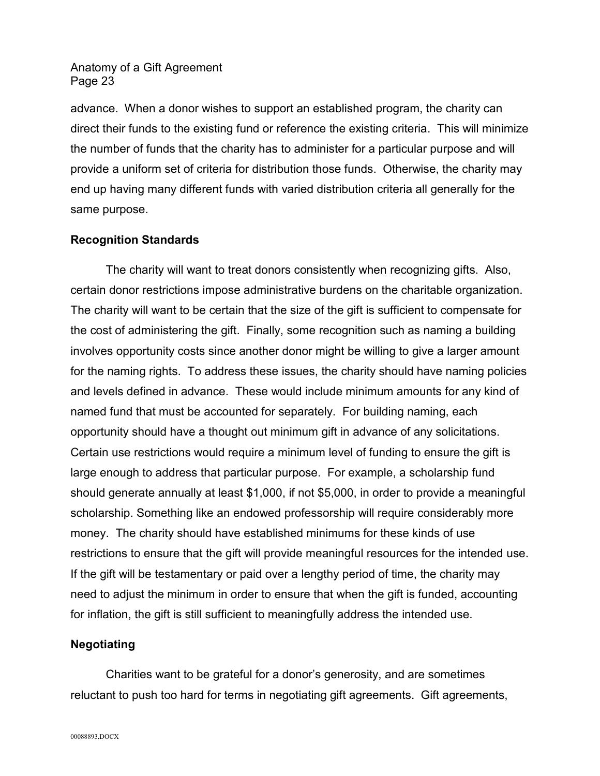advance. When a donor wishes to support an established program, the charity can direct their funds to the existing fund or reference the existing criteria. This will minimize the number of funds that the charity has to administer for a particular purpose and will provide a uniform set of criteria for distribution those funds. Otherwise, the charity may end up having many different funds with varied distribution criteria all generally for the same purpose.

## **Recognition Standards**

The charity will want to treat donors consistently when recognizing gifts. Also, certain donor restrictions impose administrative burdens on the charitable organization. The charity will want to be certain that the size of the gift is sufficient to compensate for the cost of administering the gift. Finally, some recognition such as naming a building involves opportunity costs since another donor might be willing to give a larger amount for the naming rights. To address these issues, the charity should have naming policies and levels defined in advance. These would include minimum amounts for any kind of named fund that must be accounted for separately. For building naming, each opportunity should have a thought out minimum gift in advance of any solicitations. Certain use restrictions would require a minimum level of funding to ensure the gift is large enough to address that particular purpose. For example, a scholarship fund should generate annually at least \$1,000, if not \$5,000, in order to provide a meaningful scholarship. Something like an endowed professorship will require considerably more money. The charity should have established minimums for these kinds of use restrictions to ensure that the gift will provide meaningful resources for the intended use. If the gift will be testamentary or paid over a lengthy period of time, the charity may need to adjust the minimum in order to ensure that when the gift is funded, accounting for inflation, the gift is still sufficient to meaningfully address the intended use.

## **Negotiating**

Charities want to be grateful for a donor's generosity, and are sometimes reluctant to push too hard for terms in negotiating gift agreements. Gift agreements,